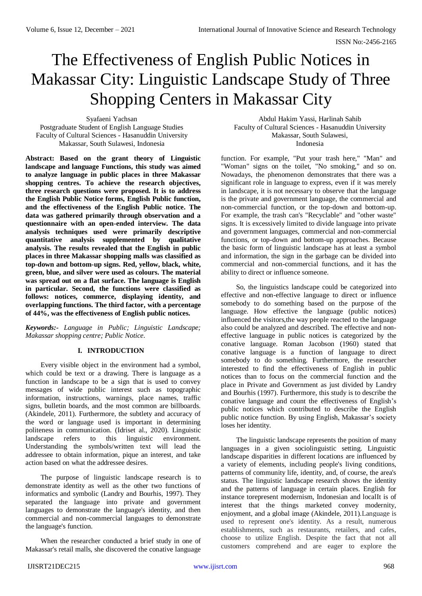# The Effectiveness of English Public Notices in Makassar City: Linguistic Landscape Study of Three Shopping Centers in Makassar City

Syafaeni Yachsan Postgraduate Student of English Language Studies Faculty of Cultural Sciences - Hasanuddin University Makassar, South Sulawesi, Indonesia

**Abstract: Based on the grant theory of Linguistic landscape and language Functions, this study was aimed to analyze language in public places in three Makassar shopping centres. To achieve the research objectives, three research questions were proposed. It is to address the English Public Notice forms, English Public function, and the effectiveness of the English Public notice. The data was gathered primarily through observation and a questionnaire with an open-ended interview. The data analysis techniques used were primarily descriptive quantitative analysis supplemented by qualitative analysis. The results revealed that the English in public places in three Makassar shopping malls was classified as top-down and bottom-up signs. Red, yellow, black, white, green, blue, and silver were used as colours. The material was spread out on a flat surface. The language is English in particular. Second, the functions were classified as follows: notices, commerce, displaying identity, and overlapping functions. The third factor, with a percentage of 44%, was the effectiveness of English public notices.**

*Keywords:- Language in Public; Linguistic Landscape; Makassar shopping centre; Public Notice.*

# **I. INTRODUCTION**

Every visible object in the environment had a symbol, which could be text or a drawing. There is language as a function in landscape to be a sign that is used to convey messages of wide public interest such as topographic information, instructions, warnings, place names, traffic signs, bulletin boards, and the most common are billboards. (Akindele, 2011). Furthermore, the subtlety and accuracy of the word or language used is important in determining politeness in communication. (Idriset al., 2020). Linguistic landscape refers to this linguistic environment. Understanding the symbols/written text will lead the addressee to obtain information, pique an interest, and take action based on what the addressee desires.

The purpose of linguistic landscape research is to demonstrate identity as well as the other two functions of informatics and symbolic (Landry and Bourhis, 1997). They separated the language into private and government languages to demonstrate the language's identity, and then commercial and non-commercial languages to demonstrate the language's function.

When the researcher conducted a brief study in one of Makassar's retail malls, she discovered the conative language

Abdul Hakim Yassi, Harlinah Sahib Faculty of Cultural Sciences - Hasanuddin University Makassar, South Sulawesi, Indonesia

function. For example, "Put your trash here," "Man" and "Woman" signs on the toilet, "No smoking," and so on. Nowadays, the phenomenon demonstrates that there was a significant role in language to express, even if it was merely in landscape, it is not necessary to observe that the language is the private and government language, the commercial and non-commercial function, or the top-down and bottom-up. For example, the trash can's "Recyclable" and "other waste" signs. It is excessively limited to divide language into private and government languages, commercial and non-commercial functions, or top-down and bottom-up approaches. Because the basic form of linguistic landscape has at least a symbol and information, the sign in the garbage can be divided into commercial and non-commercial functions, and it has the ability to direct or influence someone.

So, the linguistics landscape could be categorized into effective and non-effective language to direct or influence somebody to do something based on the purpose of the language. How effective the language (public notices) influenced the visitors,the way people reacted to the language also could be analyzed and described. The effective and noneffective language in public notices is categorized by the conative language. Roman Jacobson (1960) stated that conative language is a function of language to direct somebody to do something. Furthermore, the researcher interested to find the effectiveness of English in public notices than to focus on the commercial function and the place in Private and Government as just divided by Landry and Bourhis (1997). Furthermore, this study is to describe the conative language and count the effectiveness of English's public notices which contributed to describe the English public notice function. By using English, Makassar's society loses her identity.

The linguistic landscape represents the position of many languages in a given sociolinguistic setting. Linguistic landscape disparities in different locations are influenced by a variety of elements, including people's living conditions, patterns of community life, identity, and, of course, the area's status. The linguistic landscape research shows the identity and the patterns of language in certain places. English for instance torepresent modernism, Indonesian and localIt is of interest that the things marketed convey modernity, enjoyment, and a global image (Akindele, 2011).Language is used to represent one's identity. As a result, numerous establishments, such as restaurants, retailers, and cafes, choose to utilize English. Despite the fact that not all customers comprehend and are eager to explore the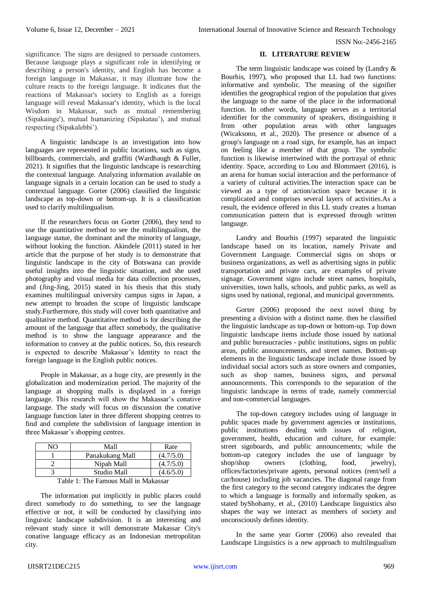significance. The signs are designed to persuade customers. Because language plays a significant role in identifying or describing a person's identity, and English has become a foreign language in Makassar, it may illustrate how the culture reacts to the foreign language. It indicates that the reactions of Makassar's society to English as a foreign language will reveal Makassar's identity, which is the local Wisdom in Makassar, such as mutual remembering (Sipakainge'), mutual humanizing (Sipakatau'), and mutual respecting (Sipakalebbi').

A linguistic landscape is an investigation into how languages are represented in public locations, such as signs, billboards, commercials, and graffiti (Wardhaugh & Fuller, 2021). It signifies that the linguistic landscape is researching the contextual language. Analyzing information available on language signals in a certain location can be used to study a contextual language. Gorter (2006) classified the linguistic landscape as top-down or bottom-up. It is a classification used to clarify multilingualism.

If the researchers focus on Gorter (2006), they tend to use the quantitative method to see the multilingualism, the language statue, the dominant and the minority of language, without looking the function. Akindele (2011) stated in her article that the purpose of her study is to demonstrate that linguistic landscape in the city of Botswana can provide useful insights into the linguistic situation, and she used photography and visual media for data collection processes, and (Jing-Jing, 2015) stated in his thesis that this study examines multilingual university campus signs in Japan, a new attempt to broaden the scope of linguistic landscape study.Furthermore, this study will cover both quantitative and qualitative method. Quantitative method is for describing the amount of the language that affect somebody, the qualitative method is to show the language appearance and the information to convey at the public notices. So, this research is expected to describe Makassar's Identity to react the foreign language in the English public notices.

People in Makassar, as a huge city, are presently in the globalization and modernization period. The majority of the language at shopping malls is displayed in a foreign language. This research will show the Makassar's conative language. The study will focus on discussion the conative language function later in three different shopping centres to find and complete the subdivision of language intention in three Makassar's shopping centres.

| NΩ                                   | Mall            | Rate      |  |
|--------------------------------------|-----------------|-----------|--|
|                                      | Panakukang Mall | (4.7/5.0) |  |
|                                      | Nipah Mall      | (4.7/5.0) |  |
|                                      | Studio Mall     | (4.6/5.0) |  |
| Table 1: The Famous Mall in Makassar |                 |           |  |

The information put implicitly in public places could direct somebody to do something, to see the language effective or not, it will be conducted by classifying into linguistic landscape subdivision. It is an interesting and relevant study since it will demonstrate Makassar City's conative language efficacy as an Indonesian metropolitan city.

## **II. LITERATURE REVIEW**

The term linguistic landscape was coined by (Landry & Bourhis, 1997), who proposed that LL had two functions: informative and symbolic. The meaning of the signifier identifies the geographical region of the population that gives the language to the name of the place in the informational function. In other words, language serves as a territorial identifier for the community of speakers, distinguishing it from other population areas with other languages (Wicaksono, et al., 2020). The presence or absence of a group's language on a road sign, for example, has an impact on feeling like a member of that group. The symbolic function is likewise intertwined with the portrayal of ethnic identity. Space, according to Lou and Blommaert (2016), is an arena for human social interaction and the performance of a variety of cultural activities.The interaction space can be viewed as a type of action/action space because it is complicated and comprises several layers of activities.As a result, the evidence offered in this LL study creates a human communication pattern that is expressed through written language.

Landry and Bourhis (1997) separated the linguistic landscape based on its location, namely Private and Government Language. Commercial signs on shops or business organizations, as well as advertising signs in public transportation and private cars, are examples of private signage. Government signs include street names, hospitals, universities, town halls, schools, and public parks, as well as signs used by national, regional, and municipal governments.

Gorter (2006) proposed the next novel thing by presenting a division with a distinct name. then he classified the linguistic landscape as top-down or bottom-up. Top down linguistic landscape items include those issued by national and public bureaucracies - public institutions, signs on public areas, public announcements, and street names. Bottom-up elements in the linguistic landscape include those issued by individual social actors such as store owners and companies, such as shop names, business signs, and personal announcements. This corresponds to the separation of the linguistic landscape in terms of trade, namely commercial and non-commercial languages.

The top-down category includes using of language in public spaces made by government agencies or institutions, public institutions dealing with issues of religion, government, health, education and culture, for example: street signboards, and public announcements; while the bottom-up category includes the use of language by shop/shop owners (clothing, food, jewelry), offices/factories/private agents, personal notices (rent/sell a car/house) including job vacancies. The diagonal range from the first category to the second category indicates the degree to which a language is formally and informally spoken, as stated byShohamy, et al., (2010) Landscape linguistics also shapes the way we interact as members of society and unconsciously defines identity.

In the same year Gorter (2006) also revealed that Landscape Linguistics is a new approach to multilingualism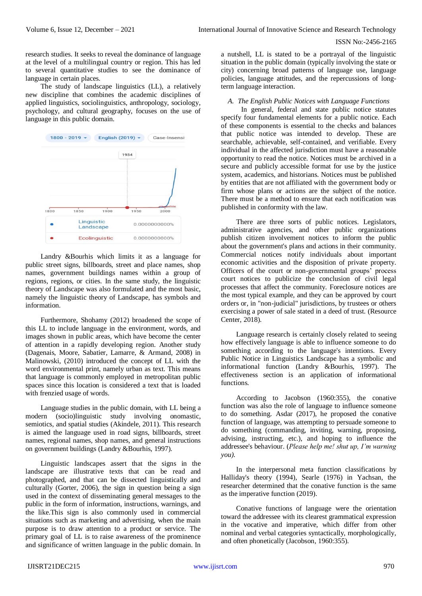research studies. It seeks to reveal the dominance of language at the level of a multilingual country or region. This has led to several quantitative studies to see the dominance of language in certain places.

The study of landscape linguistics (LL), a relatively new discipline that combines the academic disciplines of applied linguistics, sociolinguistics, anthropology, sociology, psychology, and cultural geography, focuses on the use of language in this public domain.



Landry &Bourhis which limits it as a language for public street signs, billboards, street and place names, shop names, government buildings names within a group of regions, regions, or cities. In the same study, the linguistic theory of Landscape was also formulated and the most basic, namely the linguistic theory of Landscape, has symbols and information.

Furthermore, Shohamy (2012) broadened the scope of this LL to include language in the environment, words, and images shown in public areas, which have become the center of attention in a rapidly developing region. Another study (Dagenais, Moore, Sabatier, Lamarre, & Armand, 2008) in Malinowski, (2010) introduced the concept of LL with the word environmental print, namely urban as text. This means that language is commonly employed in metropolitan public spaces since this location is considered a text that is loaded with frenzied usage of words.

Language studies in the public domain, with LL being a modern (socio)linguistic study involving onomastic, semiotics, and spatial studies (Akindele, 2011). This research is aimed the language used in road signs, billboards, street names, regional names, shop names, and general instructions on government buildings (Landry &Bourhis, 1997).

Linguistic landscapes assert that the signs in the landscape are illustrative texts that can be read and photographed, and that can be dissected linguistically and culturally (Gorter, 2006), the sign in question being a sign used in the context of disseminating general messages to the public in the form of information, instructions, warnings, and the like.This sign is also commonly used in commercial situations such as marketing and advertising, when the main purpose is to draw attention to a product or service. The primary goal of LL is to raise awareness of the prominence and significance of written language in the public domain. In a nutshell, LL is stated to be a portrayal of the linguistic situation in the public domain (typically involving the state or city) concerning broad patterns of language use, language policies, language attitudes, and the repercussions of longterm language interaction.

## *A. The English Public Notices with Language Functions*

In general, federal and state public notice statutes specify four fundamental elements for a public notice. Each of these components is essential to the checks and balances that public notice was intended to develop. These are searchable, achievable, self-contained, and verifiable. Every individual in the affected jurisdiction must have a reasonable opportunity to read the notice. Notices must be archived in a secure and publicly accessible format for use by the justice system, academics, and historians. Notices must be published by entities that are not affiliated with the government body or firm whose plans or actions are the subject of the notice. There must be a method to ensure that each notification was published in conformity with the law.

There are three sorts of public notices. Legislators, administrative agencies, and other public organizations publish citizen involvement notices to inform the public about the government's plans and actions in their community. Commercial notices notify individuals about important economic activities and the disposition of private property. Officers of the court or non-governmental groups' process court notices to publicize the conclusion of civil legal processes that affect the community. Foreclosure notices are the most typical example, and they can be approved by court orders or, in "non-judicial" jurisdictions, by trustees or others exercising a power of sale stated in a deed of trust. (Resource Center, 2018).

Language research is certainly closely related to seeing how effectively language is able to influence someone to do something according to the language's intentions. Every Public Notice in Linguistics Landscape has a symbolic and informational function (Landry &Bourhis, 1997). The effectiveness section is an application of informational functions.

According to Jacobson (1960:355), the conative function was also the role of language to influence someone to do something. Asdar (2017), he proposed the conative function of language, was attempting to persuade someone to do something (commanding, inviting, warning, proposing, advising, instructing, etc.), and hoping to influence the addressee's behaviour. (*Please help me! shut up, I'm warning you)*.

In the interpersonal meta function classifications by Halliday's theory (1994), Searle (1976) in Yachsan, the researcher determined that the conative function is the same as the imperative function (2019).

Conative functions of language were the orientation toward the addressee with its clearest grammatical expression in the vocative and imperative, which differ from other nominal and verbal categories syntactically, morphologically, and often phonetically (Jacobson, 1960:355).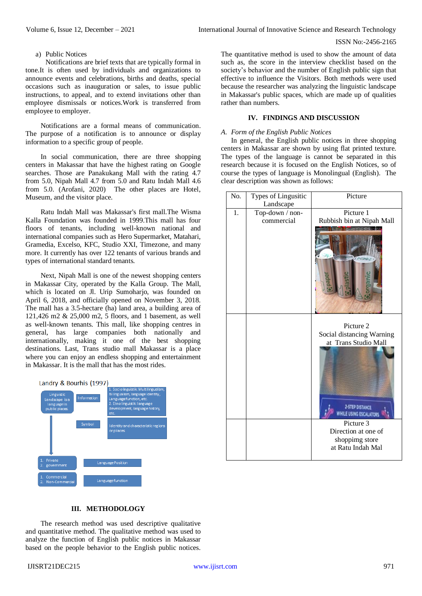## a) Public Notices

Notifications are brief texts that are typically formal in tone.It is often used by individuals and organizations to announce events and celebrations, births and deaths, special occasions such as inauguration or sales, to issue public instructions, to appeal, and to extend invitations other than employee dismissals or notices.Work is transferred from employee to employer.

Notifications are a formal means of communication. The purpose of a notification is to announce or display information to a specific group of people.

In social communication, there are three shopping centers in Makassar that have the highest rating on Google searches. Those are Panakukang Mall with the rating 4.7 from 5.0, Nipah Mall 4.7 from 5.0 and Ratu Indah Mall 4.6 from 5.0. (Arofani, 2020) The other places are Hotel, Museum, and the visitor place.

Ratu Indah Mall was Makassar's first mall.The Wisma Kalla Foundation was founded in 1999.This mall has four floors of tenants, including well-known national and international companies such as Hero Supermarket, Matahari, Gramedia, Excelso, KFC, Studio XXI, Timezone, and many more. It currently has over 122 tenants of various brands and types of international standard tenants.

Next, Nipah Mall is one of the newest shopping centers in Makassar City, operated by the Kalla Group. The Mall, which is located on Jl. Urip Sumoharjo, was founded on April 6, 2018, and officially opened on November 3, 2018. The mall has a 3.5-hectare (ha) land area, a building area of 121,426 m2 & 25,000 m2, 5 floors, and 1 basement, as well as well-known tenants. This mall, like shopping centres in general, has large companies both nationally and internationally, making it one of the best shopping destinations. Last, Trans studio mall Makassar is a place where you can enjoy an endless shopping and entertainment in Makassar. It is the mall that has the most rides.



The quantitative method is used to show the amount of data such as, the score in the interview checklist based on the society's behavior and the number of English public sign that effective to influence the Visitors. Both methods were used because the researcher was analyzing the linguistic landscape in Makassar's public spaces, which are made up of qualities rather than numbers.

# **IV. FINDINGS AND DISCUSSION**

## *A. Form of the English Public Notices*

In general, the English public notices in three shopping centers in Makassar are shown by using flat printed texture. The types of the language is cannot be separated in this research because it is focused on the English Notices, so of course the types of language is Monolingual (English). The clear description was shown as follows:



# **III. METHODOLOGY**

The research method was used descriptive qualitative and quantitative method. The qualitative method was used to analyze the function of English public notices in Makassar based on the people behavior to the English public notices.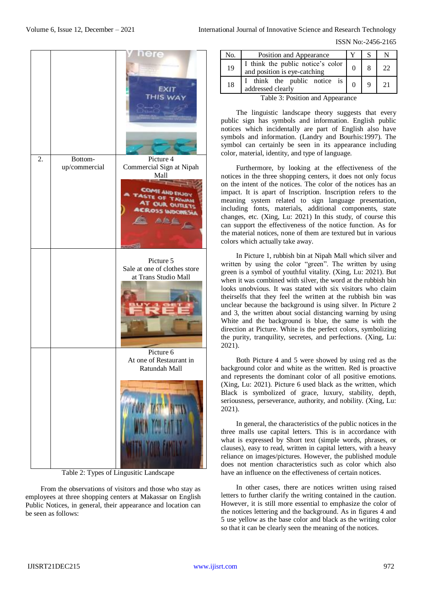ISSN No:-2456-2165

|    |               | here<br>EXIT<br>THIS WA                                                |
|----|---------------|------------------------------------------------------------------------|
| 2. | Bottom-       | Picture 4                                                              |
|    | up/commercial | Commercial Sign at Nipah<br>Mall                                       |
|    |               | COM<br><b>AND</b><br><b>OUR OUTLE</b><br><b>OSS WOOM</b><br><b>BAN</b> |
|    |               | Picture 5<br>Sale at one of clothes store<br>at Trans Studio Mall      |
|    |               | Picture 6<br>At one of Restaurant in<br>Ratundah Mall                  |
|    |               | You hist in<br>WITH YOU EAT IT<br>ili ya ma                            |

Table 2: Types of Lingusitic Landscape

From the observations of visitors and those who stay as employees at three shopping centers at Makassar on English Public Notices, in general, their appearance and location can be seen as follows:

| No.                                                                                                                                                                                                                                                                                                                                          | Position and Appearance                                                                        |  |  |    |
|----------------------------------------------------------------------------------------------------------------------------------------------------------------------------------------------------------------------------------------------------------------------------------------------------------------------------------------------|------------------------------------------------------------------------------------------------|--|--|----|
| 19                                                                                                                                                                                                                                                                                                                                           | I think the public notice's color<br>and position is eye-catching                              |  |  | 22 |
| 18                                                                                                                                                                                                                                                                                                                                           | think the public notice is $\begin{bmatrix} 1 & 0 \\ 0 & 1 \end{bmatrix}$<br>addressed clearly |  |  | 21 |
| $\mathbf{T}$ . 1.1. $\mathbf{Q}$ . $\mathbf{D}$ . $\mathbf{A}$ . $\mathbf{A}$ . $\mathbf{A}$ . $\mathbf{A}$ . $\mathbf{A}$ . $\mathbf{A}$ . $\mathbf{A}$ . $\mathbf{A}$ . $\mathbf{A}$ . $\mathbf{A}$ . $\mathbf{A}$ . $\mathbf{A}$ . $\mathbf{A}$ . $\mathbf{A}$ . $\mathbf{A}$ . $\mathbf{A}$ . $\mathbf{A}$ . $\mathbf{A}$ . $\mathbf{A}$ |                                                                                                |  |  |    |

Table 3: Position and Appearance

The linguistic landscape theory suggests that every public sign has symbols and information. English public notices which incidentally are part of English also have symbols and information. (Landry and Bourhis:1997). The symbol can certainly be seen in its appearance including color, material, identity, and type of language.

Furthermore, by looking at the effectiveness of the notices in the three shopping centers, it does not only focus on the intent of the notices. The color of the notices has an impact. It is apart of Inscription. Inscription refers to the meaning system related to sign language presentation, including fonts, materials, additional components, state changes, etc. (Xing, Lu: 2021) In this study, of course this can support the effectiveness of the notice function. As for the material notices, none of them are textured but in various colors which actually take away.

In Picture 1, rubbish bin at Nipah Mall which silver and written by using the color "green". The written by using green is a symbol of youthful vitality. (Xing, Lu: 2021). But when it was combined with silver, the word at the rubbish bin looks unobvious. It was stated with six visitors who claim theirselfs that they feel the written at the rubbish bin was unclear because the background is using silver. In Picture 2 and 3, the written about social distancing warning by using White and the background is blue, the same is with the direction at Picture. White is the perfect colors, symbolizing the purity, tranquility, secretes, and perfections. (Xing, Lu: 2021).

Both Picture 4 and 5 were showed by using red as the background color and white as the written. Red is proactive and represents the dominant color of all positive emotions. (Xing, Lu: 2021). Picture 6 used black as the written, which Black is symbolized of grace, luxury, stability, depth, seriousness, perseverance, authority, and nobility. (Xing, Lu: 2021).

In general, the characteristics of the public notices in the three malls use capital letters. This is in accordance with what is expressed by Short text (simple words, phrases, or clauses), easy to read, written in capital letters, with a heavy reliance on images/pictures. However, the published module does not mention characteristics such as color which also have an influence on the effectiveness of certain notices.

In other cases, there are notices written using raised letters to further clarify the writing contained in the caution. However, it is still more essential to emphasize the color of the notices lettering and the background. As in figures 4 and 5 use yellow as the base color and black as the writing color so that it can be clearly seen the meaning of the notices.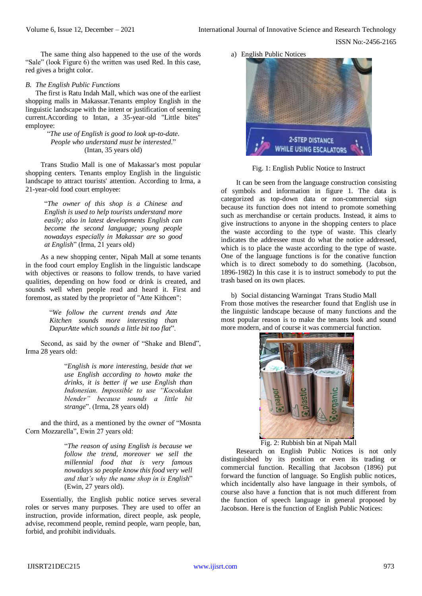The same thing also happened to the use of the words "Sale" (look Figure 6) the written was used Red. In this case, red gives a bright color.

## *B. The English Public Functions*

The first is Ratu Indah Mall, which was one of the earliest shopping malls in Makassar.Tenants employ English in the linguistic landscape with the intent or justification of seeming current.According to Intan, a 35-year-old "Little bites" employee:

> "*The use of English is good to look up-to-date. People who understand must be interested*." (Intan, 35 years old)

Trans Studio Mall is one of Makassar's most popular shopping centers. Tenants employ English in the linguistic landscape to attract tourists' attention. According to Irma, a 21-year-old food court employee:

> "*The owner of this shop is a Chinese and English is used to help tourists understand more easily; also in latest developments English can become the second language; young people nowadays especially in Makassar are so good at English*" (Irma, 21 years old)

As a new shopping center, Nipah Mall at some tenants in the food court employ English in the linguistic landscape with objectives or reasons to follow trends, to have varied qualities, depending on how food or drink is created, and sounds well when people read and heard it. First and foremost, as stated by the proprietor of "Atte Kithcen":

> "*We follow the current trends and Atte Kitchen sounds more interesting than DapurAtte which sounds a little bit too flat*".

Second, as said by the owner of "Shake and Blend", Irma 28 years old:

> "*English is more interesting, beside that we use English according to howto make the drinks, it is better if we use English than Indonesian. Impossible to use "Kocokdan blender" because sounds a little bit strange*". (Irma, 28 years old)

and the third, as a mentioned by the owner of "Mosnta Corn Mozzarella", Ewin 27 years old:

> "*The reason of using English is because we follow the trend, moreover we sell the millennial food that is very famous nowadays so people know this food very well and that's why the name shop in is English*" (Ewin, 27 years old).

Essentially, the English public notice serves several roles or serves many purposes. They are used to offer an instruction, provide information, direct people, ask people, advise, recommend people, remind people, warn people, ban, forbid, and prohibit individuals.

a) English Public Notices



Fig. 1: English Public Notice to Instruct

It can be seen from the language construction consisting of symbols and information in figure 1. The data is categorized as top-down data or non-commercial sign because its function does not intend to promote something such as merchandise or certain products. Instead, it aims to give instructions to anyone in the shopping centers to place the waste according to the type of waste. This clearly indicates the addressee must do what the notice addressed, which is to place the waste according to the type of waste. One of the language functions is for the conative function which is to direct somebody to do something. (Jacobson, 1896-1982) In this case it is to instruct somebody to put the trash based on its own places.

b) Social distancing Warningat Trans Studio Mall From those motives the researcher found that English use in the linguistic landscape because of many functions and the most popular reason is to make the tenants look and sound more modern, and of course it was commercial function.



Fig. 2: Rubbish bin at Nipah Mall

Research on English Public Notices is not only distinguished by its position or even its trading or commercial function. Recalling that Jacobson (1896) put forward the function of language. So English public notices, which incidentally also have language in their symbols, of course also have a function that is not much different from the function of speech language in general proposed by Jacobson. Here is the function of English Public Notices: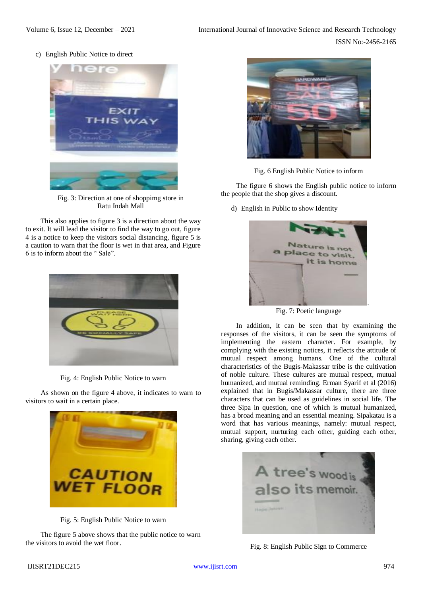c) English Public Notice to direct



Fig. 3: Direction at one of shoppimg store in Ratu Indah Mall

This also applies to figure 3 is a direction about the way to exit. It will lead the visitor to find the way to go out, figure 4 is a notice to keep the visitors social distancing, figure 5 is a caution to warn that the floor is wet in that area, and Figure 6 is to inform about the " Sale".



Fig. 4: English Public Notice to warn

As shown on the figure 4 above, it indicates to warn to visitors to wait in a certain place.



Fig. 5: English Public Notice to warn

The figure 5 above shows that the public notice to warn the visitors to avoid the wet floor.



Fig. 6 English Public Notice to inform

The figure 6 shows the English public notice to inform the people that the shop gives a discount.

d) English in Public to show Identity



Fig. 7: Poetic language

In addition, it can be seen that by examining the responses of the visitors, it can be seen the symptoms of implementing the eastern character. For example, by complying with the existing notices, it reflects the attitude of mutual respect among humans. One of the cultural characteristics of the Bugis-Makassar tribe is the cultivation of noble culture. These cultures are mutual respect, mutual humanized, and mutual reminding. Erman Syarif et al (2016) explained that in Bugis/Makassar culture, there are three characters that can be used as guidelines in social life. The three Sipa in question, one of which is mutual humanized, has a broad meaning and an essential meaning. Sipakatau is a word that has various meanings, namely: mutual respect, mutual support, nurturing each other, guiding each other, sharing, giving each other.



Fig. 8: English Public Sign to Commerce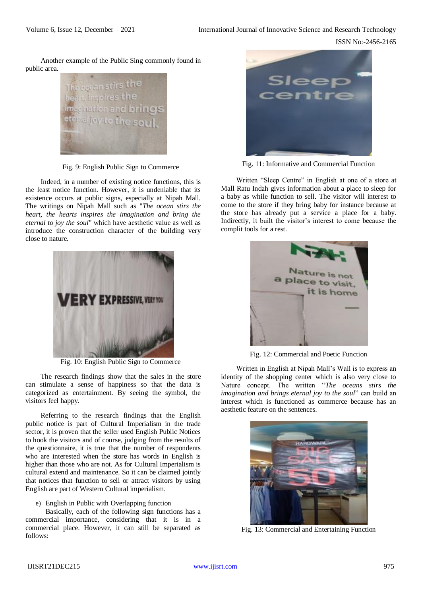ISSN No:-2456-2165

Another example of the Public Sing commonly found in public area.



Fig. 9: English Public Sign to Commerce

Indeed, in a number of existing notice functions, this is the least notice function. However, it is undeniable that its existence occurs at public signs, especially at Nipah Mall. The writings on Nipah Mall such as "*The ocean stirs the heart, the hearts inspires the imagination and bring the eternal to joy the soul*" which have aesthetic value as well as introduce the construction character of the building very close to nature.



Fig. 10: English Public Sign to Commerce

The research findings show that the sales in the store can stimulate a sense of happiness so that the data is categorized as entertainment. By seeing the symbol, the visitors feel happy.

Referring to the research findings that the English public notice is part of Cultural Imperialism in the trade sector, it is proven that the seller used English Public Notices to hook the visitors and of course, judging from the results of the questionnaire, it is true that the number of respondents who are interested when the store has words in English is higher than those who are not. As for Cultural Imperialism is cultural extend and maintenance. So it can be claimed jointly that notices that function to sell or attract visitors by using English are part of Western Cultural imperialism.

e) English in Public with Overlapping function

Basically, each of the following sign functions has a commercial importance, considering that it is in a commercial place. However, it can still be separated as follows:



Fig. 11: Informative and Commercial Function

Written "Sleep Centre" in English at one of a store at Mall Ratu Indah gives information about a place to sleep for a baby as while function to sell. The visitor will interest to come to the store if they bring baby for instance because at the store has already put a service a place for a baby. Indirectly, it built the visitor's interest to come because the complit tools for a rest.



Fig. 12: Commercial and Poetic Function

Written in English at Nipah Mall's Wall is to express an identity of the shopping center which is also very close to Nature concept. The written "*The oceans stirs the imagination and brings eternal joy to the soul*" can build an interest which is functioned as commerce because has an aesthetic feature on the sentences.



Fig. 13: Commercial and Entertaining Function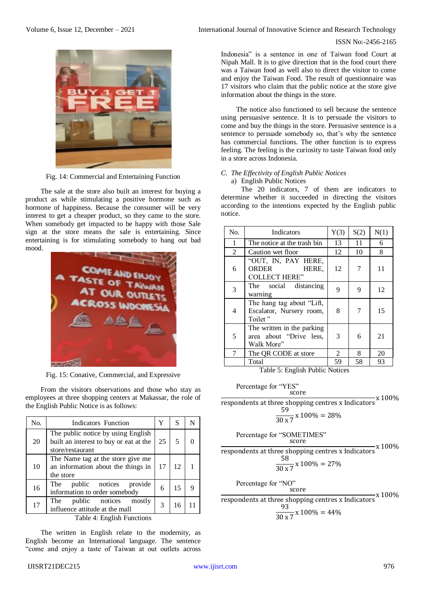

Fig. 14: Commercial and Entertaining Function

The sale at the store also built an interest for buying a product as while stimulating a positive hormone such as hormone of happiness. Because the consumer will be very interest to get a cheaper product, so they came to the store. When somebody get impacted to be happy with those Sale sign at the store means the sale is entertaining. Since entertaining is for stimulating somebody to hang out bad mood.



Fig. 15: Conative, Commercial, and Expressive

From the visitors observations and those who stay as employees at three shopping centers at Makassar, the role of the English Public Notice is as follows:

| No.                        | Indicators Function                                                                              | Y  | S  |  |
|----------------------------|--------------------------------------------------------------------------------------------------|----|----|--|
| 20                         | The public notice by using English<br>built an interest to buy or eat at the<br>store/restaurant | 25 | 5  |  |
| 10                         | The Name tag at the store give me<br>an information about the things in<br>the store             | 17 | 12 |  |
| 16                         | The public notices<br>provide<br>information to order somebody                                   | 6  | 15 |  |
| 17                         | public notices<br>The<br>mostly<br>influence attitude at the mall                                | 3  | 16 |  |
| Table 4: English Functions |                                                                                                  |    |    |  |

The written in English relate to the modernity, as English become an International language. The sentence "come and enjoy a taste of Taiwan at out outlets across

## ISSN No:-2456-2165

Indonesia" is a sentence in one of Taiwan food Court at Nipah Mall. It is to give direction that in the food court there was a Taiwan food as well also to direct the visitor to come and enjoy the Taiwan Food. The result of questionnaire was 17 visitors who claim that the public notice at the store give information about the things in the store.

The notice also functioned to sell because the sentence using persuasive sentence. It is to persuade the visitors to come and buy the things in the store. Persuasive sentence is a sentence to persuade somebody so, that's why the sentence has commercial functions. The other function is to express feeling. The feeling is the curiosity to taste Taiwan food only in a store across Indonesia.

## *C. The Effectivity of English Public Notices* a) English Public Notices

The 20 indicators, 7 of them are indicators to determine whether it succeeded in directing the visitors according to the intentions expected by the English public notice.

| N <sub>0</sub> | Indicators                                                          | Y(3) | S(2) | N(1) |
|----------------|---------------------------------------------------------------------|------|------|------|
| $\mathbf{1}$   | The notice at the trash bin                                         | 13   | 11   | 6    |
| 2              | Caution wet floor                                                   | 12   | 10   | 8    |
| 6              | "OUT, IN, PAY HERE,<br>ORDER<br>HERE,<br><b>COLLECT HERE"</b>       | 12   |      | 11   |
| 3              | The social distancing<br>warning                                    | 9    | 9    | 12   |
| $\overline{4}$ | The hang tag about "Lift,<br>Escalator, Nursery room,<br>Toilet "   | 8    |      | 15   |
| 5              | The written in the parking<br>area about "Drive less,<br>Walk More" | 3    | 6    | 21   |
| 7              | The QR CODE at store                                                | 2    | 8    | 20   |
|                | Total                                                               | 59   | 58   | 93   |

Table 5: English Public Notices

Percentage for "YES" score respondents at three shopping centres <sup>x</sup> Indicators <sup>x</sup> 100%

59

$$
\frac{1}{30 \times 7} \times 100\% = 28\%
$$

Percentage for "SOMETIMES"  
score  
respondents at three shopping centres x Indicators x 100%
$$
\frac{58}{30 \times 7} \times 100\% = 27\%
$$

Percentage for "NO"  
score  
respondents at three shopping centres x Indicators x 100%  

$$
\frac{93}{30 \times 7} \times 100\% = 44\%
$$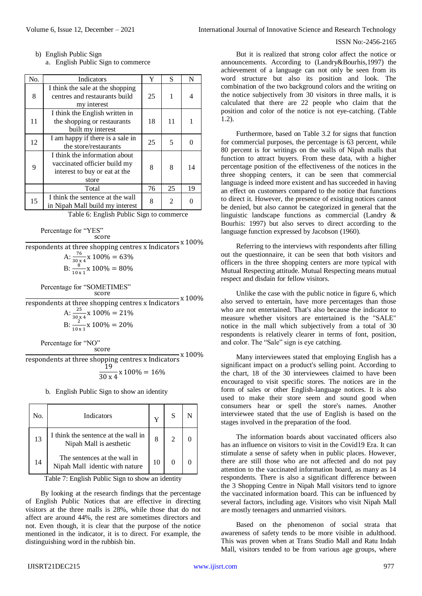b) English Public Sign

a. English Public Sign to commerce

| No. | Indicators                                                                                              | Y  | S  | N                 |
|-----|---------------------------------------------------------------------------------------------------------|----|----|-------------------|
| 8   | I think the sale at the shopping<br>centres and restaurants build<br>my interest                        | 25 |    | 4                 |
| 11  | I think the English written in<br>the shopping or restaurants<br>built my interest                      | 18 | 11 |                   |
| 12  | I am happy if there is a sale in<br>the store/restaurants                                               | 25 | 5  | $\mathbf{\Omega}$ |
| 9   | I think the information about<br>vaccinated officier build my<br>interest to buy or eat at the<br>store | 8  | 8  | 14                |
|     | Total                                                                                                   | 76 | 25 | 19                |
| 15  | I think the sentence at the wall<br>in Nipah Mall build my interest                                     | 8  | 2  |                   |

Table 6: English Public Sign to commerce

```
Percentage for "YES"
      score
```

|                                                    | x 100% |
|----------------------------------------------------|--------|
| respondents at three shopping centres x Indicators |        |
| A: $\frac{76}{30 \times 4}$ x 100% = 63%           |        |
| B: $\frac{8}{10 \times 1}$ x 100% = 80%            |        |
| Percentage for "SOMETIMES"<br>score                |        |
| respondents at three shopping centres x Indicators | x 100% |
| A: $\frac{25}{30 \times 4}$ x 100% = 21%           |        |
| B: $\frac{2}{10 \times 1}$ x 100% = 20%            |        |
|                                                    |        |

Percentage for "NO" score

respondents at three shopping centres x Indicators  $x$  100% 19  $\frac{1}{30 \times 4}$  x 100% = 16%

b. English Public Sign to show an identity

| No. | Indicators                                                     | v  | S                           |  |
|-----|----------------------------------------------------------------|----|-----------------------------|--|
| 13  | I think the sentence at the wall in<br>Nipah Mall is aesthetic | 8  | $\mathcal{D}_{\mathcal{A}}$ |  |
| 14  | The sentences at the wall in<br>Nipah Mall identic with nature | 10 |                             |  |

Table 7: English Public Sign to show an identity

By looking at the research findings that the percentage of English Public Notices that are effective in directing visitors at the three malls is 28%, while those that do not affect are around 44%, the rest are sometimes directors and not. Even though, it is clear that the purpose of the notice mentioned in the indicator, it is to direct. For example, the distinguishing word in the rubbish bin.

But it is realized that strong color affect the notice or announcements. According to (Landry&Bourhis,1997) the achievement of a language can not only be seen from its word structure but also its position and look. The combination of the two background colors and the writing on the notice subjectively from 30 visitors in three malls, it is calculated that there are 22 people who claim that the position and color of the notice is not eye-catching. (Table 1.2).

Furthermore, based on Table 3.2 for signs that function for commercial purposes, the percentage is 63 percent, while 80 percent is for writings on the walls of Nipah malls that function to attract buyers. From these data, with a higher percentage position of the effectiveness of the notices in the three shopping centers, it can be seen that commercial language is indeed more existent and has succeeded in having an effect on customers compared to the notice that functions to direct it. However, the presence of existing notices cannot be denied, but also cannot be categorized in general that the linguistic landscape functions as commercial (Landry & Bourhis: 1997) but also serves to direct according to the language function expressed by Jacobson (1960).

Referring to the interviews with respondents after filling out the questionnaire, it can be seen that both visitors and officers in the three shopping centers are more typical with Mutual Respecting attitude. Mutual Respecting means mutual respect and disdain for fellow visitors.

Unlike the case with the public notice in figure 6, which also served to entertain, have more percentages than those who are not entertained. That's also because the indicator to measure whether visitors are entertained is the "SALE" notice in the mall which subjectively from a total of 30 respondents is relatively clearer in terms of font, position, and color. The "Sale" sign is eye catching.

Many interviewees stated that employing English has a significant impact on a product's selling point. According to the chart, 18 of the 30 interviewees claimed to have been encouraged to visit specific stores. The notices are in the form of sales or other English-language notices. It is also used to make their store seem and sound good when consumers hear or spell the store's names. Another interviewee stated that the use of English is based on the stages involved in the preparation of the food.

The information boards about vaccinated officers also has an influence on visitors to visit in the Covid19 Era. It can stimulate a sense of safety when in public places. However, there are still those who are not affected and do not pay attention to the vaccinated information board, as many as 14 respondents. There is also a significant difference between the 3 Shopping Centre in Nipah Mall visitors tend to ignore the vaccinated information board. This can be influenced by several factors, including age. Visitors who visit Nipah Mall are mostly teenagers and unmarried visitors.

Based on the phenomenon of social strata that awareness of safety tends to be more visible in adulthood. This was proven when at Trans Studio Mall and Ratu Indah Mall, visitors tended to be from various age groups, where